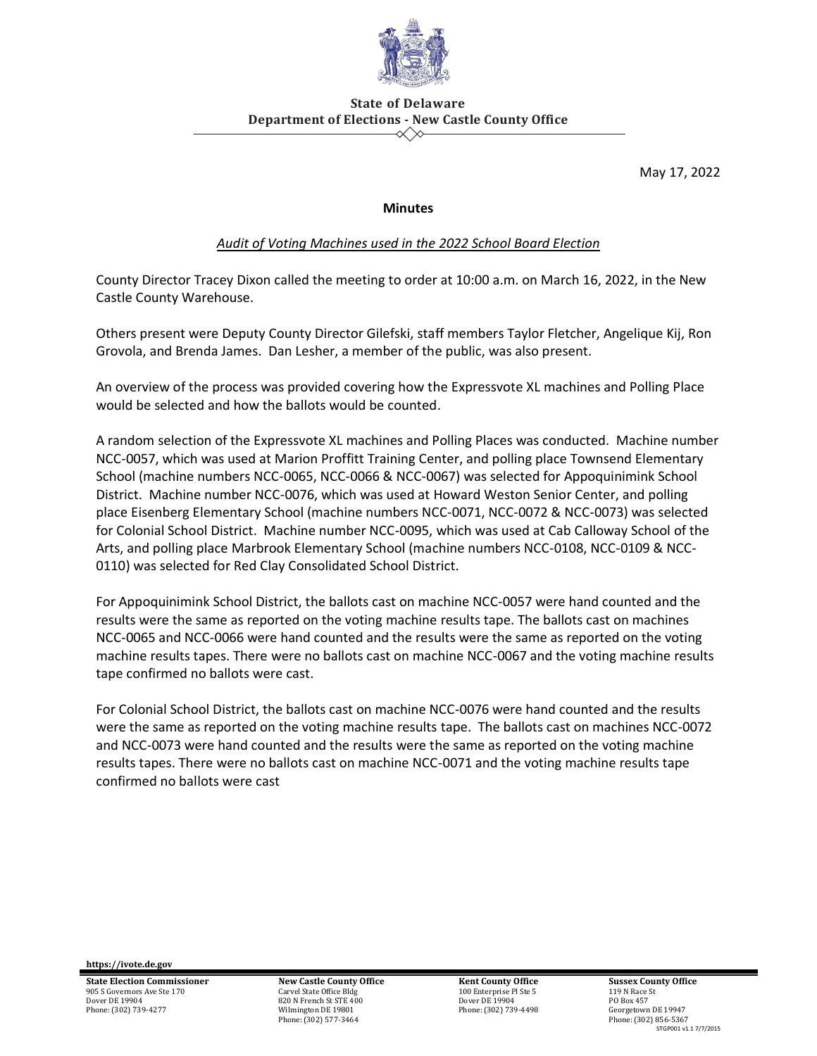

## **State of Delaware Department of Elections - New Castle County Office**  $\ll \gg$

May 17, 2022

## **Minutes**

## *Audit of Voting Machines used in the 2022 School Board Election*

County Director Tracey Dixon called the meeting to order at 10:00 a.m. on March 16, 2022, in the New Castle County Warehouse.

Others present were Deputy County Director Gilefski, staff members Taylor Fletcher, Angelique Kij, Ron Grovola, and Brenda James. Dan Lesher, a member of the public, was also present.

An overview of the process was provided covering how the Expressvote XL machines and Polling Place would be selected and how the ballots would be counted.

A random selection of the Expressvote XL machines and Polling Places was conducted. Machine number NCC-0057, which was used at Marion Proffitt Training Center, and polling place Townsend Elementary School (machine numbers NCC-0065, NCC-0066 & NCC-0067) was selected for Appoquinimink School District. Machine number NCC-0076, which was used at Howard Weston Senior Center, and polling place Eisenberg Elementary School (machine numbers NCC-0071, NCC-0072 & NCC-0073) was selected for Colonial School District. Machine number NCC-0095, which was used at Cab Calloway School of the Arts, and polling place Marbrook Elementary School (machine numbers NCC-0108, NCC-0109 & NCC-0110) was selected for Red Clay Consolidated School District.

For Appoquinimink School District, the ballots cast on machine NCC-0057 were hand counted and the results were the same as reported on the voting machine results tape. The ballots cast on machines NCC-0065 and NCC-0066 were hand counted and the results were the same as reported on the voting machine results tapes. There were no ballots cast on machine NCC-0067 and the voting machine results tape confirmed no ballots were cast.

For Colonial School District, the ballots cast on machine NCC-0076 were hand counted and the results were the same as reported on the voting machine results tape. The ballots cast on machines NCC-0072 and NCC-0073 were hand counted and the results were the same as reported on the voting machine results tapes. There were no ballots cast on machine NCC-0071 and the voting machine results tape confirmed no ballots were cast

**https://ivote.de.gov**

**State Election Commissioner** 905 S Governors Ave Ste 170 Dover DE 19904 Phone: (302) 739-4277

**New Castle County Office** Carvel State Office Bld 820 N French St STE 400 Wilmington DE 19801 Phone: (302) 577-3464

**Kent County Office** 100 Enterprise Pl Ste 5 Dover DE 19904 Phone: (302) 739-4498 **Sussex County Office** 119 N Race St PO Box 457 Georgetown DE 19947 Phone: (302) 856-5367 STGP001 v1.1 7/7/2015